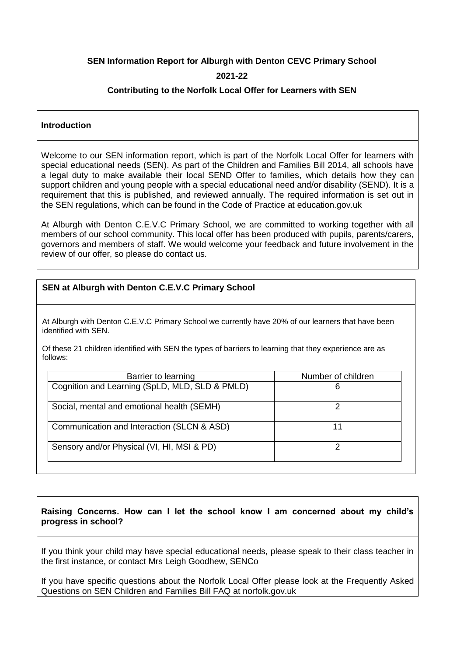# **SEN Information Report for Alburgh with Denton CEVC Primary School**

# **2021-22**

# **Contributing to the Norfolk Local Offer for Learners with SEN**

### **Introduction**

Welcome to our SEN information report, which is part of the Norfolk Local Offer for learners with special educational needs (SEN). As part of the Children and Families Bill 2014, all schools have a legal duty to make available their local SEND Offer to families, which details how they can support children and young people with a special educational need and/or disability (SEND). It is a requirement that this is published, and reviewed annually. The required information is set out in the SEN regulations, which can be found in the Code of Practice at education.gov.uk

At Alburgh with Denton C.E.V.C Primary School, we are committed to working together with all members of our school community. This local offer has been produced with pupils, parents/carers, governors and members of staff. We would welcome your feedback and future involvement in the review of our offer, so please do contact us.

# **SEN at Alburgh with Denton C.E.V.C Primary School**

At Alburgh with Denton C.E.V.C Primary School we currently have 20% of our learners that have been identified with SEN.

Of these 21 children identified with SEN the types of barriers to learning that they experience are as follows:

| Barrier to learning                            | Number of children |
|------------------------------------------------|--------------------|
| Cognition and Learning (SpLD, MLD, SLD & PMLD) | 6                  |
| Social, mental and emotional health (SEMH)     |                    |
| Communication and Interaction (SLCN & ASD)     | 11                 |
| Sensory and/or Physical (VI, HI, MSI & PD)     |                    |

# **Raising Concerns. How can I let the school know I am concerned about my child's progress in school?**

If you think your child may have special educational needs, please speak to their class teacher in the first instance, or contact Mrs Leigh Goodhew, SENCo

If you have specific questions about the Norfolk Local Offer please look at the Frequently Asked Questions on SEN Children and Families Bill FAQ at norfolk.gov.uk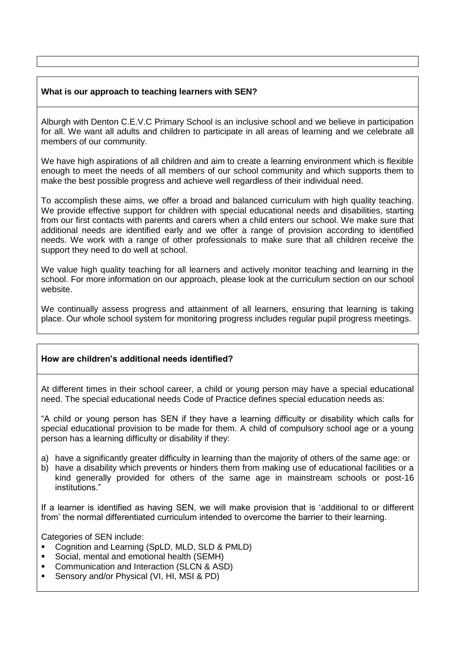# **What is our approach to teaching learners with SEN?**

Alburgh with Denton C.E.V.C Primary School is an inclusive school and we believe in participation for all. We want all adults and children to participate in all areas of learning and we celebrate all members of our community.

We have high aspirations of all children and aim to create a learning environment which is flexible enough to meet the needs of all members of our school community and which supports them to make the best possible progress and achieve well regardless of their individual need.

To accomplish these aims, we offer a broad and balanced curriculum with high quality teaching. We provide effective support for children with special educational needs and disabilities, starting from our first contacts with parents and carers when a child enters our school. We make sure that additional needs are identified early and we offer a range of provision according to identified needs. We work with a range of other professionals to make sure that all children receive the support they need to do well at school.

We value high quality teaching for all learners and actively monitor teaching and learning in the school. For more information on our approach, please look at the curriculum section on our school website.

We continually assess progress and attainment of all learners, ensuring that learning is taking place. Our whole school system for monitoring progress includes regular pupil progress meetings.

# **How are children's additional needs identified?**

At different times in their school career, a child or young person may have a special educational need. The special educational needs Code of Practice defines special education needs as:

"A child or young person has SEN if they have a learning difficulty or disability which calls for special educational provision to be made for them. A child of compulsory school age or a young person has a learning difficulty or disability if they:

- a) have a significantly greater difficulty in learning than the majority of others of the same age: or
- b) have a disability which prevents or hinders them from making use of educational facilities or a kind generally provided for others of the same age in mainstream schools or post-16 institutions."

If a learner is identified as having SEN, we will make provision that is 'additional to or different from' the normal differentiated curriculum intended to overcome the barrier to their learning.

Categories of SEN include:

- Cognition and Learning (SpLD, MLD, SLD & PMLD)
- Social, mental and emotional health (SEMH)
- Communication and Interaction (SLCN & ASD)
- Sensory and/or Physical (VI, HI, MSI & PD)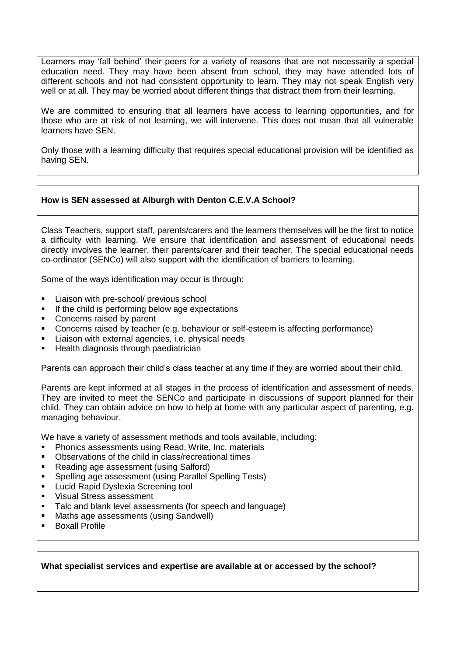Learners may 'fall behind' their peers for a variety of reasons that are not necessarily a special education need. They may have been absent from school, they may have attended lots of different schools and not had consistent opportunity to learn. They may not speak English very well or at all. They may be worried about different things that distract them from their learning.

We are committed to ensuring that all learners have access to learning opportunities, and for those who are at risk of not learning, we will intervene. This does not mean that all vulnerable learners have SEN.

Only those with a learning difficulty that requires special educational provision will be identified as having SEN.

# **How is SEN assessed at Alburgh with Denton C.E.V.A School?**

Class Teachers, support staff, parents/carers and the learners themselves will be the first to notice a difficulty with learning. We ensure that identification and assessment of educational needs directly involves the learner, their parents/carer and their teacher. The special educational needs co-ordinator (SENCo) will also support with the identification of barriers to learning.

Some of the ways identification may occur is through:

- Liaison with pre-school/ previous school
- If the child is performing below age expectations
- Concerns raised by parent
- Concerns raised by teacher (e.g. behaviour or self-esteem is affecting performance)
- Liaison with external agencies, i.e. physical needs
- Health diagnosis through paediatrician

Parents can approach their child's class teacher at any time if they are worried about their child.

Parents are kept informed at all stages in the process of identification and assessment of needs. They are invited to meet the SENCo and participate in discussions of support planned for their child. They can obtain advice on how to help at home with any particular aspect of parenting, e.g. managing behaviour.

We have a variety of assessment methods and tools available, including:

- Phonics assessments using Read, Write, Inc. materials
- Observations of the child in class/recreational times
- Reading age assessment (using Salford)
- Spelling age assessment (using Parallel Spelling Tests)
- Lucid Rapid Dyslexia Screening tool
- Visual Stress assessment
- Talc and blank level assessments (for speech and language)
- Maths age assessments (using Sandwell)
- Boxall Profile

### **What specialist services and expertise are available at or accessed by the school?**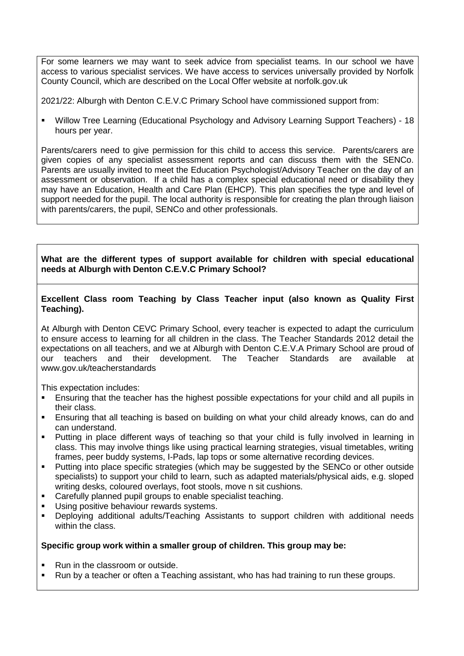For some learners we may want to seek advice from specialist teams. In our school we have access to various specialist services. We have access to services universally provided by Norfolk County Council, which are described on the Local Offer website at norfolk.gov.uk

2021/22: Alburgh with Denton C.E.V.C Primary School have commissioned support from:

 Willow Tree Learning (Educational Psychology and Advisory Learning Support Teachers) - 18 hours per year.

Parents/carers need to give permission for this child to access this service. Parents/carers are given copies of any specialist assessment reports and can discuss them with the SENCo. Parents are usually invited to meet the Education Psychologist/Advisory Teacher on the day of an assessment or observation. If a child has a complex special educational need or disability they may have an Education, Health and Care Plan (EHCP). This plan specifies the type and level of support needed for the pupil. The local authority is responsible for creating the plan through liaison with parents/carers, the pupil, SENCo and other professionals.

# **What are the different types of support available for children with special educational needs at Alburgh with Denton C.E.V.C Primary School?**

# **Excellent Class room Teaching by Class Teacher input (also known as Quality First Teaching).**

At Alburgh with Denton CEVC Primary School, every teacher is expected to adapt the curriculum to ensure access to learning for all children in the class. The Teacher Standards 2012 detail the expectations on all teachers, and we at Alburgh with Denton C.E.V.A Primary School are proud of our teachers and their development. The Teacher Standards are available at www.gov.uk/teacherstandards

This expectation includes:

- Ensuring that the teacher has the highest possible expectations for your child and all pupils in their class.
- Ensuring that all teaching is based on building on what your child already knows, can do and can understand.
- Putting in place different ways of teaching so that your child is fully involved in learning in class. This may involve things like using practical learning strategies, visual timetables, writing frames, peer buddy systems, I-Pads, lap tops or some alternative recording devices.
- Putting into place specific strategies (which may be suggested by the SENCo or other outside specialists) to support your child to learn, such as adapted materials/physical aids, e.g. sloped writing desks, coloured overlays, foot stools, move n sit cushions.
- Carefully planned pupil groups to enable specialist teaching.
- Using positive behaviour rewards systems.
- Deploying additional adults/Teaching Assistants to support children with additional needs within the class.

# **Specific group work within a smaller group of children. This group may be:**

- Run in the classroom or outside.
- Run by a teacher or often a Teaching assistant, who has had training to run these groups.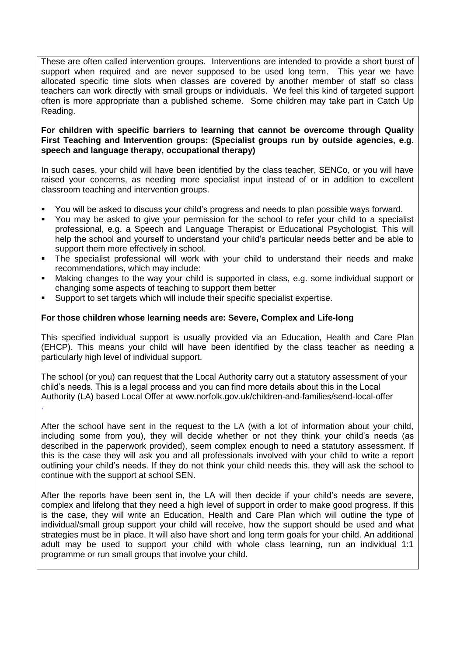These are often called intervention groups. Interventions are intended to provide a short burst of support when required and are never supposed to be used long term. This year we have allocated specific time slots when classes are covered by another member of staff so class teachers can work directly with small groups or individuals. We feel this kind of targeted support often is more appropriate than a published scheme. Some children may take part in Catch Up Reading.

# **For children with specific barriers to learning that cannot be overcome through Quality First Teaching and Intervention groups: (Specialist groups run by outside agencies, e.g. speech and language therapy, occupational therapy)**

In such cases, your child will have been identified by the class teacher, SENCo, or you will have raised your concerns, as needing more specialist input instead of or in addition to excellent classroom teaching and intervention groups.

- You will be asked to discuss your child's progress and needs to plan possible ways forward.
- You may be asked to give your permission for the school to refer your child to a specialist professional, e.g. a Speech and Language Therapist or Educational Psychologist. This will help the school and yourself to understand your child's particular needs better and be able to support them more effectively in school.
- The specialist professional will work with your child to understand their needs and make recommendations, which may include:
- Making changes to the way your child is supported in class, e.g. some individual support or changing some aspects of teaching to support them better
- Support to set targets which will include their specific specialist expertise.

.

# **For those children whose learning needs are: Severe, Complex and Life-long**

This specified individual support is usually provided via an Education, Health and Care Plan (EHCP). This means your child will have been identified by the class teacher as needing a particularly high level of individual support.

The school (or you) can request that the Local Authority carry out a statutory assessment of your child's needs. This is a legal process and you can find more details about this in the Local Authority (LA) based Local Offer at www.norfolk.gov.uk/children-and-families/send-local-offer

After the school have sent in the request to the LA (with a lot of information about your child, including some from you), they will decide whether or not they think your child's needs (as described in the paperwork provided), seem complex enough to need a statutory assessment. If this is the case they will ask you and all professionals involved with your child to write a report outlining your child's needs. If they do not think your child needs this, they will ask the school to continue with the support at school SEN.

After the reports have been sent in, the LA will then decide if your child's needs are severe, complex and lifelong that they need a high level of support in order to make good progress. If this is the case, they will write an Education, Health and Care Plan which will outline the type of individual/small group support your child will receive, how the support should be used and what strategies must be in place. It will also have short and long term goals for your child. An additional adult may be used to support your child with whole class learning, run an individual 1:1 programme or run small groups that involve your child.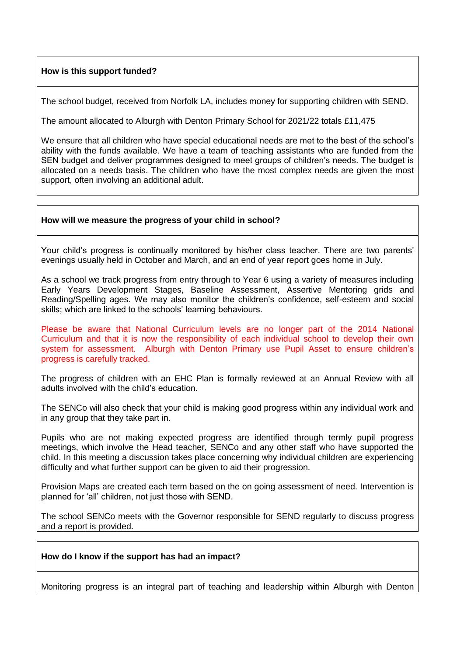# **How is this support funded?**

The school budget, received from Norfolk LA, includes money for supporting children with SEND.

The amount allocated to Alburgh with Denton Primary School for 2021/22 totals £11,475

We ensure that all children who have special educational needs are met to the best of the school's ability with the funds available. We have a team of teaching assistants who are funded from the SEN budget and deliver programmes designed to meet groups of children's needs. The budget is allocated on a needs basis. The children who have the most complex needs are given the most support, often involving an additional adult.

### **How will we measure the progress of your child in school?**

Your child's progress is continually monitored by his/her class teacher. There are two parents' evenings usually held in October and March, and an end of year report goes home in July.

As a school we track progress from entry through to Year 6 using a variety of measures including Early Years Development Stages, Baseline Assessment, Assertive Mentoring grids and Reading/Spelling ages. We may also monitor the children's confidence, self-esteem and social skills; which are linked to the schools' learning behaviours.

Please be aware that National Curriculum levels are no longer part of the 2014 National Curriculum and that it is now the responsibility of each individual school to develop their own system for assessment. Alburgh with Denton Primary use Pupil Asset to ensure children's progress is carefully tracked.

The progress of children with an EHC Plan is formally reviewed at an Annual Review with all adults involved with the child's education.

The SENCo will also check that your child is making good progress within any individual work and in any group that they take part in.

Pupils who are not making expected progress are identified through termly pupil progress meetings, which involve the Head teacher, SENCo and any other staff who have supported the child. In this meeting a discussion takes place concerning why individual children are experiencing difficulty and what further support can be given to aid their progression.

Provision Maps are created each term based on the on going assessment of need. Intervention is planned for 'all' children, not just those with SEND.

The school SENCo meets with the Governor responsible for SEND regularly to discuss progress and a report is provided.

### **How do I know if the support has had an impact?**

Monitoring progress is an integral part of teaching and leadership within Alburgh with Denton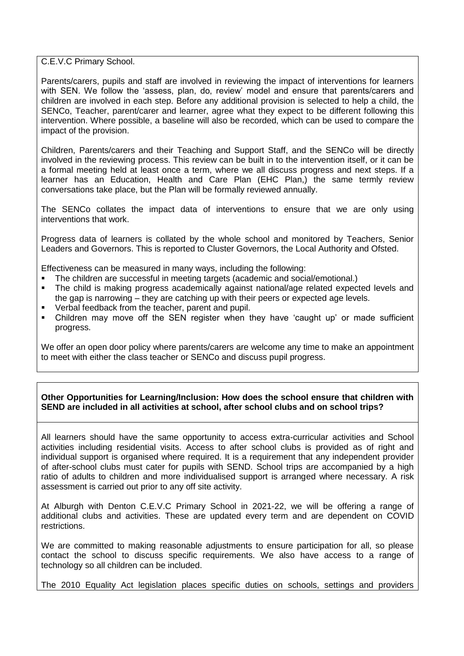C.E.V.C Primary School.

Parents/carers, pupils and staff are involved in reviewing the impact of interventions for learners with SEN. We follow the 'assess, plan, do, review' model and ensure that parents/carers and children are involved in each step. Before any additional provision is selected to help a child, the SENCo, Teacher, parent/carer and learner, agree what they expect to be different following this intervention. Where possible, a baseline will also be recorded, which can be used to compare the impact of the provision.

Children, Parents/carers and their Teaching and Support Staff, and the SENCo will be directly involved in the reviewing process. This review can be built in to the intervention itself, or it can be a formal meeting held at least once a term, where we all discuss progress and next steps. If a learner has an Education, Health and Care Plan (EHC Plan,) the same termly review conversations take place, but the Plan will be formally reviewed annually.

The SENCo collates the impact data of interventions to ensure that we are only using interventions that work.

Progress data of learners is collated by the whole school and monitored by Teachers, Senior Leaders and Governors. This is reported to Cluster Governors, the Local Authority and Ofsted.

Effectiveness can be measured in many ways, including the following:

- The children are successful in meeting targets (academic and social/emotional.)
- The child is making progress academically against national/age related expected levels and the gap is narrowing – they are catching up with their peers or expected age levels.
- Verbal feedback from the teacher, parent and pupil.
- Children may move off the SEN register when they have 'caught up' or made sufficient progress.

We offer an open door policy where parents/carers are welcome any time to make an appointment to meet with either the class teacher or SENCo and discuss pupil progress.

### **Other Opportunities for Learning/Inclusion: How does the school ensure that children with SEND are included in all activities at school, after school clubs and on school trips?**

All learners should have the same opportunity to access extra-curricular activities and School activities including residential visits. Access to after school clubs is provided as of right and individual support is organised where required. It is a requirement that any independent provider of after-school clubs must cater for pupils with SEND. School trips are accompanied by a high ratio of adults to children and more individualised support is arranged where necessary. A risk assessment is carried out prior to any off site activity.

At Alburgh with Denton C.E.V.C Primary School in 2021-22, we will be offering a range of additional clubs and activities. These are updated every term and are dependent on COVID restrictions.

We are committed to making reasonable adjustments to ensure participation for all, so please contact the school to discuss specific requirements. We also have access to a range of technology so all children can be included.

The 2010 Equality Act legislation places specific duties on schools, settings and providers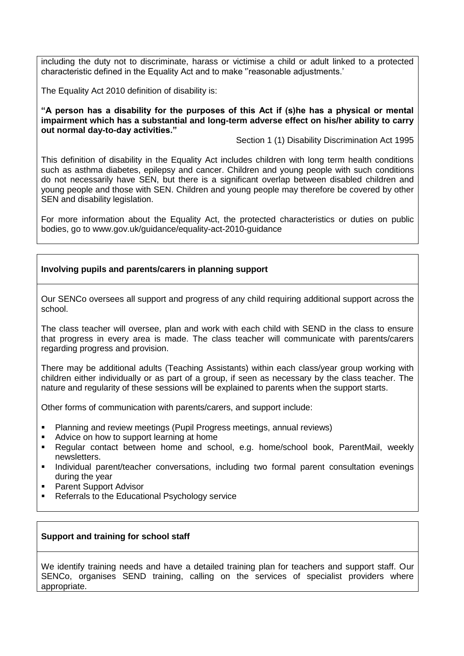including the duty not to discriminate, harass or victimise a child or adult linked to a protected characteristic defined in the Equality Act and to make ''reasonable adjustments.'

The Equality Act 2010 definition of disability is:

**"A person has a disability for the purposes of this Act if (s)he has a physical or mental impairment which has a substantial and long-term adverse effect on his/her ability to carry out normal day-to-day activities."**

Section 1 (1) Disability Discrimination Act 1995

This definition of disability in the Equality Act includes children with long term health conditions such as asthma diabetes, epilepsy and cancer. Children and young people with such conditions do not necessarily have SEN, but there is a significant overlap between disabled children and young people and those with SEN. Children and young people may therefore be covered by other SEN and disability legislation.

For more information about the Equality Act, the protected characteristics or duties on public bodies, go to www.gov.uk/guidance/equality-act-2010-guidance

# **Involving pupils and parents/carers in planning support**

Our SENCo oversees all support and progress of any child requiring additional support across the school.

The class teacher will oversee, plan and work with each child with SEND in the class to ensure that progress in every area is made. The class teacher will communicate with parents/carers regarding progress and provision.

There may be additional adults (Teaching Assistants) within each class/year group working with children either individually or as part of a group, if seen as necessary by the class teacher. The nature and regularity of these sessions will be explained to parents when the support starts.

Other forms of communication with parents/carers, and support include:

- Planning and review meetings (Pupil Progress meetings, annual reviews)
- Advice on how to support learning at home
- Regular contact between home and school, e.g. home/school book, ParentMail, weekly newsletters.
- Individual parent/teacher conversations, including two formal parent consultation evenings during the year
- Parent Support Advisor
- Referrals to the Educational Psychology service

# **Support and training for school staff**

We identify training needs and have a detailed training plan for teachers and support staff. Our SENCo, organises SEND training, calling on the services of specialist providers where appropriate.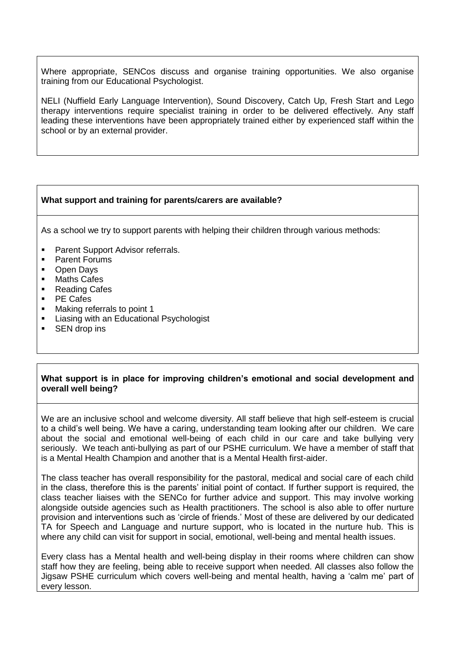Where appropriate, SENCos discuss and organise training opportunities. We also organise training from our Educational Psychologist.

NELI (Nuffield Early Language Intervention), Sound Discovery, Catch Up, Fresh Start and Lego therapy interventions require specialist training in order to be delivered effectively. Any staff leading these interventions have been appropriately trained either by experienced staff within the school or by an external provider.

# **What support and training for parents/carers are available?**

As a school we try to support parents with helping their children through various methods:

- Parent Support Advisor referrals.
- Parent Forums
- Open Days
- Maths Cafes
- Reading Cafes
- PE Cafes
- Making referrals to point 1
- Liasing with an Educational Psychologist
- SEN drop ins

# **What support is in place for improving children's emotional and social development and overall well being?**

We are an inclusive school and welcome diversity. All staff believe that high self-esteem is crucial to a child's well being. We have a caring, understanding team looking after our children. We care about the social and emotional well-being of each child in our care and take bullying very seriously. We teach anti-bullying as part of our PSHE curriculum. We have a member of staff that is a Mental Health Champion and another that is a Mental Health first-aider.

The class teacher has overall responsibility for the pastoral, medical and social care of each child in the class, therefore this is the parents' initial point of contact. If further support is required, the class teacher liaises with the SENCo for further advice and support. This may involve working alongside outside agencies such as Health practitioners. The school is also able to offer nurture provision and interventions such as 'circle of friends.' Most of these are delivered by our dedicated TA for Speech and Language and nurture support, who is located in the nurture hub. This is where any child can visit for support in social, emotional, well-being and mental health issues.

Every class has a Mental health and well-being display in their rooms where children can show staff how they are feeling, being able to receive support when needed. All classes also follow the Jigsaw PSHE curriculum which covers well-being and mental health, having a 'calm me' part of every lesson.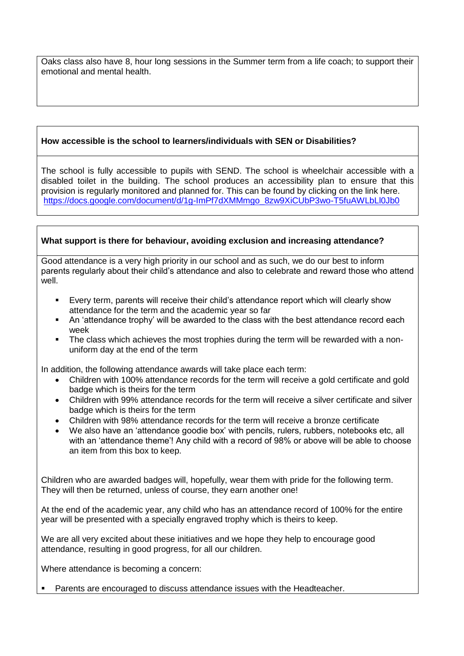Oaks class also have 8, hour long sessions in the Summer term from a life coach; to support their emotional and mental health.

# **How accessible is the school to learners/individuals with SEN or Disabilities?**

The school is fully accessible to pupils with SEND. The school is wheelchair accessible with a disabled toilet in the building. The school produces an accessibility plan to ensure that this provision is regularly monitored and planned for. This can be found by clicking on the link here. [https://docs.google.com/document/d/1g-ImPf7dXMMmgo\\_8zw9XiCUbP3wo-T5fuAWLbLl0Jb0](https://docs.google.com/document/d/1g-ImPf7dXMMmgo_8zw9XiCUbP3wo-T5fuAWLbLl0Jb0)

# **What support is there for behaviour, avoiding exclusion and increasing attendance?**

Good attendance is a very high priority in our school and as such, we do our best to inform parents regularly about their child's attendance and also to celebrate and reward those who attend well.

- Every term, parents will receive their child's attendance report which will clearly show attendance for the term and the academic year so far
- An 'attendance trophy' will be awarded to the class with the best attendance record each week
- The class which achieves the most trophies during the term will be rewarded with a nonuniform day at the end of the term

In addition, the following attendance awards will take place each term:

- Children with 100% attendance records for the term will receive a gold certificate and gold badge which is theirs for the term
- Children with 99% attendance records for the term will receive a silver certificate and silver badge which is theirs for the term
- Children with 98% attendance records for the term will receive a bronze certificate
- We also have an 'attendance goodie box' with pencils, rulers, rubbers, notebooks etc, all with an 'attendance theme'! Any child with a record of 98% or above will be able to choose an item from this box to keep.

Children who are awarded badges will, hopefully, wear them with pride for the following term. They will then be returned, unless of course, they earn another one!

At the end of the academic year, any child who has an attendance record of 100% for the entire year will be presented with a specially engraved trophy which is theirs to keep.

We are all very excited about these initiatives and we hope they help to encourage good attendance, resulting in good progress, for all our children.

Where attendance is becoming a concern:

Parents are encouraged to discuss attendance issues with the Headteacher.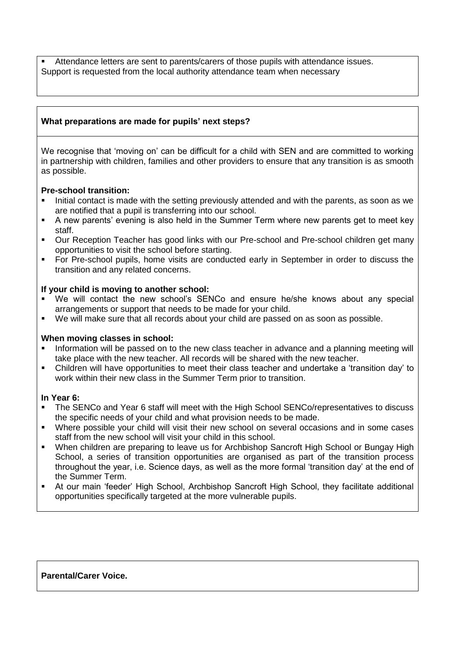Attendance letters are sent to parents/carers of those pupils with attendance issues. Support is requested from the local authority attendance team when necessary

# **What preparations are made for pupils' next steps?**

We recognise that 'moving on' can be difficult for a child with SEN and are committed to working in partnership with children, families and other providers to ensure that any transition is as smooth as possible.

# **Pre-school transition:**

- Initial contact is made with the setting previously attended and with the parents, as soon as we are notified that a pupil is transferring into our school.
- A new parents' evening is also held in the Summer Term where new parents get to meet key staff.
- Our Reception Teacher has good links with our Pre-school and Pre-school children get many opportunities to visit the school before starting.
- For Pre-school pupils, home visits are conducted early in September in order to discuss the transition and any related concerns.

# **If your child is moving to another school:**

- We will contact the new school's SENCo and ensure he/she knows about any special arrangements or support that needs to be made for your child.
- We will make sure that all records about your child are passed on as soon as possible.

# **When moving classes in school:**

- Information will be passed on to the new class teacher in advance and a planning meeting will take place with the new teacher. All records will be shared with the new teacher.
- Children will have opportunities to meet their class teacher and undertake a 'transition day' to work within their new class in the Summer Term prior to transition.

### **In Year 6:**

- The SENCo and Year 6 staff will meet with the High School SENCo/representatives to discuss the specific needs of your child and what provision needs to be made.
- Where possible your child will visit their new school on several occasions and in some cases staff from the new school will visit your child in this school.
- When children are preparing to leave us for Archbishop Sancroft High School or Bungay High School, a series of transition opportunities are organised as part of the transition process throughout the year, i.e. Science days, as well as the more formal 'transition day' at the end of the Summer Term.
- At our main 'feeder' High School, Archbishop Sancroft High School, they facilitate additional opportunities specifically targeted at the more vulnerable pupils.

# **Parental/Carer Voice.**